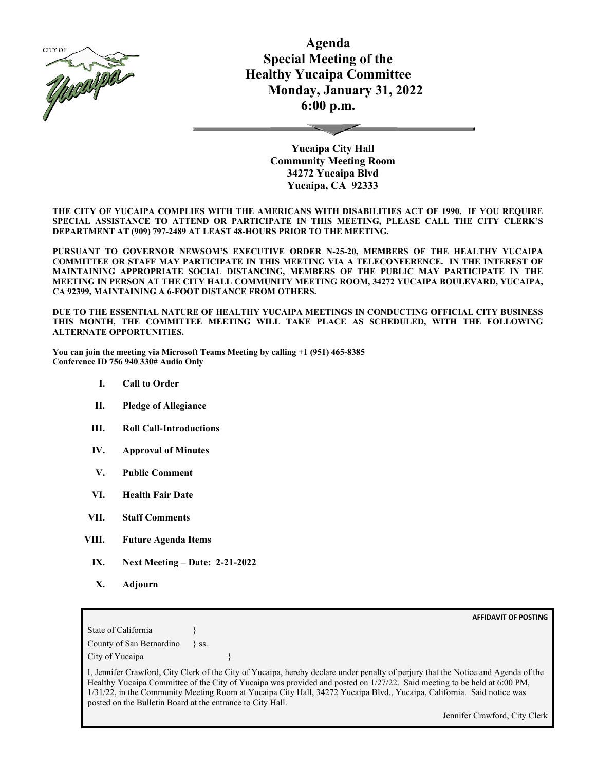

**Agenda Special Meeting of the Healthy Yucaipa Committee Monday, January 31, 2022 6:00 p.m.**

> **Yucaipa City Hall Community Meeting Room 34272 Yucaipa Blvd Yucaipa, CA 92333**

**THE CITY OF YUCAIPA COMPLIES WITH THE AMERICANS WITH DISABILITIES ACT OF 1990. IF YOU REQUIRE SPECIAL ASSISTANCE TO ATTEND OR PARTICIPATE IN THIS MEETING, PLEASE CALL THE CITY CLERK'S DEPARTMENT AT (909) 797-2489 AT LEAST 48-HOURS PRIOR TO THE MEETING.**

**PURSUANT TO GOVERNOR NEWSOM'S EXECUTIVE ORDER N-25-20, MEMBERS OF THE HEALTHY YUCAIPA COMMITTEE OR STAFF MAY PARTICIPATE IN THIS MEETING VIA A TELECONFERENCE. IN THE INTEREST OF MAINTAINING APPROPRIATE SOCIAL DISTANCING, MEMBERS OF THE PUBLIC MAY PARTICIPATE IN THE MEETING IN PERSON AT THE CITY HALL COMMUNITY MEETING ROOM, 34272 YUCAIPA BOULEVARD, YUCAIPA, CA 92399, MAINTAINING A 6-FOOT DISTANCE FROM OTHERS.**

**DUE TO THE ESSENTIAL NATURE OF HEALTHY YUCAIPA MEETINGS IN CONDUCTING OFFICIAL CITY BUSINESS THIS MONTH, THE COMMITTEE MEETING WILL TAKE PLACE AS SCHEDULED, WITH THE FOLLOWING ALTERNATE OPPORTUNITIES.**

**You can join the meeting via Microsoft Teams Meeting by calling +1 (951) 465-8385 Conference ID 756 940 330# Audio Only**

- **I. Call to Order**
- **II. Pledge of Allegiance**
- **III. Roll Call-Introductions**
- **IV. Approval of Minutes**
- **V. Public Comment**
- **VI. Health Fair Date**
- **VII. Staff Comments**
- **VIII. Future Agenda Items**
	- **IX. Next Meeting – Date: 2-21-2022**
	- **X. Adjourn**

**AFFIDAVIT OF POSTING** State of California County of San Bernardino } ss. City of Yucaipa I, Jennifer Crawford, City Clerk of the City of Yucaipa, hereby declare under penalty of perjury that the Notice and Agenda of the

Healthy Yucaipa Committee of the City of Yucaipa was provided and posted on 1/27/22. Said meeting to be held at 6:00 PM, 1/31/22, in the Community Meeting Room at Yucaipa City Hall, 34272 Yucaipa Blvd., Yucaipa, California. Said notice was posted on the Bulletin Board at the entrance to City Hall.

Jennifer Crawford, City Clerk